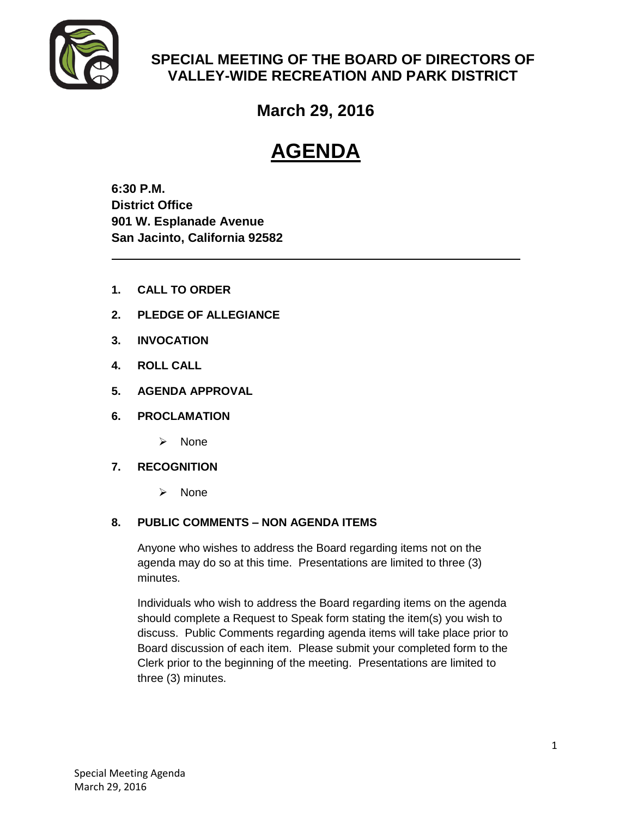

### **SPECIAL MEETING OF THE BOARD OF DIRECTORS OF VALLEY-WIDE RECREATION AND PARK DISTRICT**

## **March 29, 2016**

# **AGENDA**

**6:30 P.M. District Office 901 W. Esplanade Avenue San Jacinto, California 92582**

- **1. CALL TO ORDER**
- **2. PLEDGE OF ALLEGIANCE**
- **3. INVOCATION**
- **4. ROLL CALL**
- **5. AGENDA APPROVAL**
- **6. PROCLAMATION**
	- $\triangleright$  None
- **7. RECOGNITION** 
	- $\triangleright$  None

#### **8. PUBLIC COMMENTS – NON AGENDA ITEMS**

Anyone who wishes to address the Board regarding items not on the agenda may do so at this time. Presentations are limited to three (3) minutes.

Individuals who wish to address the Board regarding items on the agenda should complete a Request to Speak form stating the item(s) you wish to discuss. Public Comments regarding agenda items will take place prior to Board discussion of each item. Please submit your completed form to the Clerk prior to the beginning of the meeting. Presentations are limited to three (3) minutes.